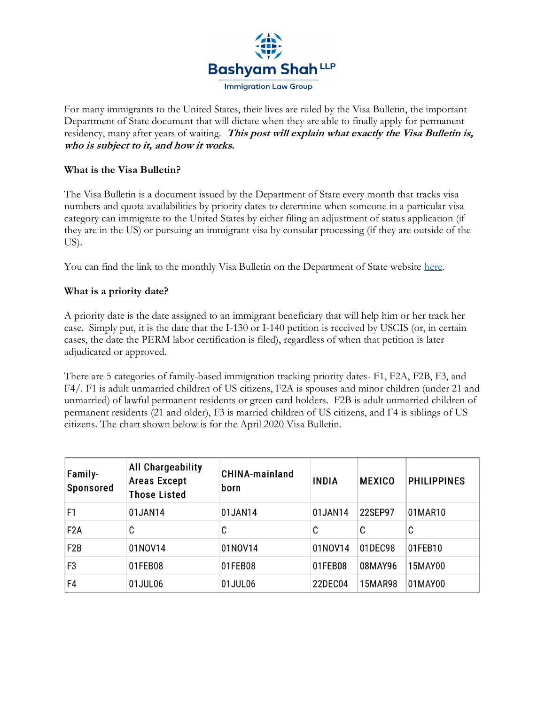

For many immigrants to the United States, their lives are ruled by the Visa Bulletin, the important Department of State document that will dictate when they are able to finally apply for permanent residency, many after years of waiting. This post will explain what exactly the Visa Bulletin is, **who is subject to it, and how it works.**

## **What is the Visa Bulletin?**

The Visa Bulletin is a document issued by the Department of State every month that tracks visa numbers and quota availabilities by priority dates to determine when someone in a particular visa category can immigrate to the United States by either filing an adjustment of status application (if they are in the US) or pursuing an immigrant visa by consular processing (if they are outside of the US).

You can find the link to the monthly Visa Bulletin on the Department of State website [here.](https://travel.state.gov/content/travel/en/legal/visa-law0/visa-bulletin.html)

## **What is a priority date?**

A priority date is the date assigned to an immigrant beneficiary that will help him or her track her case. Simply put, it is the date that the I-130 or I-140 petition is received by USCIS (or, in certain cases, the date the PERM labor certification is filed), regardless of when that petition is later adjudicated or approved.

There are 5 categories of family-based immigration tracking priority dates- F1, F2A, F2B, F3, and F4/. F1 is adult unmarried children of US citizens, F2A is spouses and minor children (under 21 and unmarried) of lawful permanent residents or green card holders. F2B is adult unmarried children of permanent residents (21 and older), F3 is married children of US citizens, and F4 is siblings of US citizens. The chart shown below is for the April 2020 Visa Bulletin.

| Family-<br>Sponsored | <b>All Chargeability</b><br><b>Areas Except</b><br><b>Those Listed</b> | <b>CHINA-mainland</b><br>born | <b>INDIA</b> | <b>MEXICO</b>  | <b>PHILIPPINES</b> |
|----------------------|------------------------------------------------------------------------|-------------------------------|--------------|----------------|--------------------|
| F1                   | 01JAN14                                                                | 01JAN14                       | 01JAN14      | 22SEP97        | 01MAR10            |
| F <sub>2</sub> A     | C                                                                      | C                             | C            | C              | С                  |
| F <sub>2</sub> B     | 01NOV14                                                                | 01NOV14                       | 01NOV14      | 01DEC98        | 01FEB10            |
| F3                   | 01FEB08                                                                | 01FEB08                       | 01FEB08      | 08MAY96        | <b>15MAY00</b>     |
| F4                   | 01JUL06                                                                | 01JUL06                       | 22DEC04      | <b>15MAR98</b> | 01MAY00            |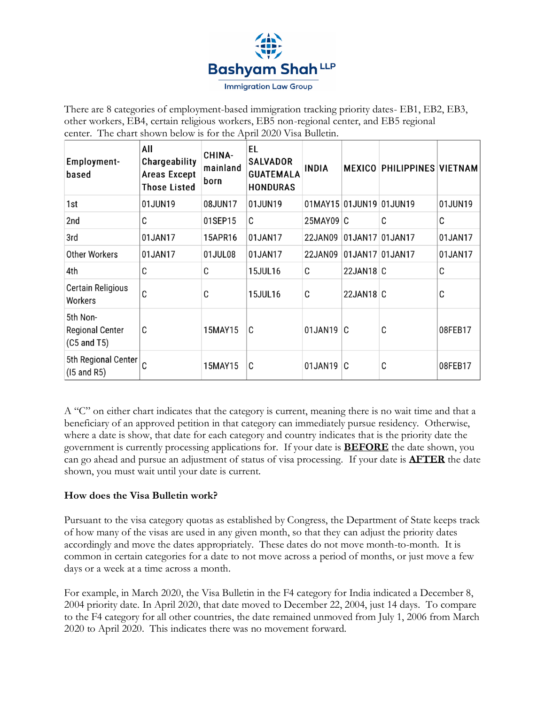

There are 8 categories of employment-based immigration tracking priority dates- EB1, EB2, EB3, other workers, EB4, certain religious workers, EB5 non-regional center, and EB5 regional center. The chart shown below is for the April 2020 Visa Bulletin.

| Employment-<br>based                                | All<br>Chargeability<br>Areas Except<br><b>Those Listed</b> | CHINA-<br>mainland<br>born | EL<br><b>SALVADOR</b><br><b>GUATEMALA</b><br><b>HONDURAS</b> | <b>INDIA</b>            |                 | <b>MEXICO PHILIPPINES VIETNAM</b> |         |
|-----------------------------------------------------|-------------------------------------------------------------|----------------------------|--------------------------------------------------------------|-------------------------|-----------------|-----------------------------------|---------|
| 1st                                                 | 01JUN19                                                     | 08JUN17                    | 01JUN19                                                      | 01MAY15 01JUN19 01JUN19 |                 |                                   | 01JUN19 |
| 2nd                                                 | C                                                           | 01SEP15                    | C                                                            | $25MAY09$ C             |                 | C                                 | C       |
| 3rd                                                 | 01JAN17                                                     | 15APR16                    | 01JAN17                                                      | 22JAN09                 | 01JAN17 01JAN17 |                                   | 01JAN17 |
| <b>Other Workers</b>                                | 01JAN17                                                     | 01JUL08                    | 01JAN17                                                      | 22JAN09                 | 01JAN17 01JAN17 |                                   | 01JAN17 |
| 4th                                                 | С                                                           | C                          | 15JUL16                                                      | C                       | 22JAN18 C       |                                   | C       |
| Certain Religious<br>Workers                        | C                                                           | С                          | 15JUL16                                                      | C                       | 22JAN18 C       |                                   | С       |
| 5th Non-<br><b>Regional Center</b><br>$(C5$ and T5) | С                                                           | 15MAY15                    | C                                                            | $01$ JAN19 $ C $        |                 | C                                 | 08FEB17 |
| 5th Regional Center<br>$(15$ and R5)                | C                                                           | 15MAY15                    | C                                                            | 01JAN19 C               |                 | C                                 | 08FEB17 |

A "C" on either chart indicates that the category is current, meaning there is no wait time and that a beneficiary of an approved petition in that category can immediately pursue residency. Otherwise, where a date is show, that date for each category and country indicates that is the priority date the government is currently processing applications for. If your date is **BEFORE** the date shown, you can go ahead and pursue an adjustment of status of visa processing. If your date is **AFTER** the date shown, you must wait until your date is current.

## **How does the Visa Bulletin work?**

Pursuant to the visa category quotas as established by Congress, the Department of State keeps track of how many of the visas are used in any given month, so that they can adjust the priority dates accordingly and move the dates appropriately. These dates do not move month-to-month. It is common in certain categories for a date to not move across a period of months, or just move a few days or a week at a time across a month.

For example, in March 2020, the Visa Bulletin in the F4 category for India indicated a December 8, 2004 priority date. In April 2020, that date moved to December 22, 2004, just 14 days. To compare to the F4 category for all other countries, the date remained unmoved from July 1, 2006 from March 2020 to April 2020. This indicates there was no movement forward.